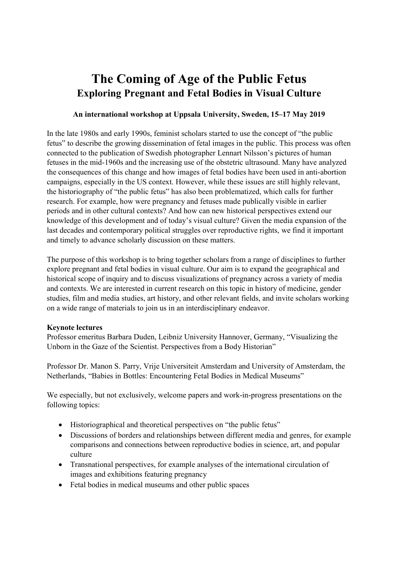## The Coming of Age of the Public Fetus Exploring Pregnant and Fetal Bodies in Visual Culture

## An international workshop at Uppsala University, Sweden, 15–17 May 2019

In the late 1980s and early 1990s, feminist scholars started to use the concept of "the public fetus" to describe the growing dissemination of fetal images in the public. This process was often connected to the publication of Swedish photographer Lennart Nilsson's pictures of human fetuses in the mid-1960s and the increasing use of the obstetric ultrasound. Many have analyzed the consequences of this change and how images of fetal bodies have been used in anti-abortion campaigns, especially in the US context. However, while these issues are still highly relevant, the historiography of "the public fetus" has also been problematized, which calls for further research. For example, how were pregnancy and fetuses made publically visible in earlier periods and in other cultural contexts? And how can new historical perspectives extend our knowledge of this development and of today's visual culture? Given the media expansion of the last decades and contemporary political struggles over reproductive rights, we find it important and timely to advance scholarly discussion on these matters.

The purpose of this workshop is to bring together scholars from a range of disciplines to further explore pregnant and fetal bodies in visual culture. Our aim is to expand the geographical and historical scope of inquiry and to discuss visualizations of pregnancy across a variety of media and contexts. We are interested in current research on this topic in history of medicine, gender studies, film and media studies, art history, and other relevant fields, and invite scholars working on a wide range of materials to join us in an interdisciplinary endeavor.

## Keynote lectures

Professor emeritus Barbara Duden, Leibniz University Hannover, Germany, "Visualizing the Unborn in the Gaze of the Scientist. Perspectives from a Body Historian"

Professor Dr. Manon S. Parry, Vrije Universiteit Amsterdam and University of Amsterdam, the Netherlands, "Babies in Bottles: Encountering Fetal Bodies in Medical Museums"

We especially, but not exclusively, welcome papers and work-in-progress presentations on the following topics:

- Historiographical and theoretical perspectives on "the public fetus"
- Discussions of borders and relationships between different media and genres, for example comparisons and connections between reproductive bodies in science, art, and popular culture
- Transnational perspectives, for example analyses of the international circulation of images and exhibitions featuring pregnancy
- Fetal bodies in medical museums and other public spaces